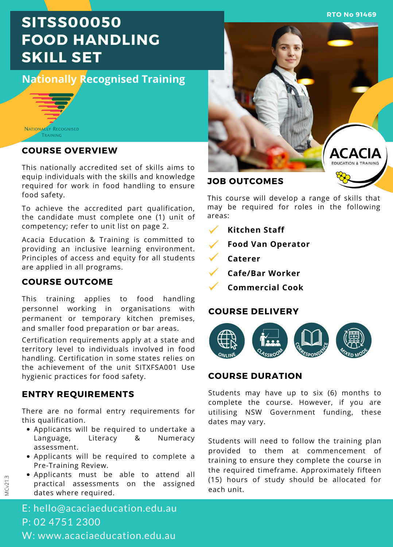**RTO No 91469**

# **SITSS00050 FOOD HANDLING SKILL SET**

# **Nationally Recognised Training**



### **COURSE OVERVIEW**

This nationally accredited set of skills aims to equip individuals with the skills and knowledge required for work in food handling to ensure food safety.

To achieve the accredited part qualification, the candidate must complete one (1) unit of competency; refer to unit list on page 2.

Acacia Education & Training is committed to providing an inclusive learning environment. Principles of access and equity for all students are applied in all programs.

# **COURSE OUTCOME**

This training applies to food handling personnel working in organisations with permanent or temporary kitchen premises, and smaller food preparation or bar areas.

Certification requirements apply at a state and territory level to individuals involved in food handling. Certification in some states relies on the achievement of the unit SITXFSA001 Use hygienic practices for food safety.

# **ENTRY REQUIREMENTS**

There are no formal entry requirements for this qualification.

- Applicants will be required to undertake a Language, Literacy & Numeracy assessment.
- Applicants will be required to complete a Pre-Training Review.
- Applicants must be able to attend all practical assessments on the assigned dates where required.



**JOB OUTCOMES**

This course will develop a range of skills that may be required for roles in the following areas:

- **Kitchen Staff**
- **Food Van Operator**
- **Caterer**
- **Cafe/Bar Worker**
	- **Commercial Cook**

# **COURSE DELIVERY**



# **COURSE DURATION**

Students may have up to six (6) months to complete the course. However, if you are utilising NSW Government funding, these dates may vary.

Students will need to follow the training plan provided to them at commencement of training to ensure they complete the course in the required timeframe. Approximately fifteen (15) hours of study should be allocated for each unit.

E: hello@acaciaeducation.edu.au P: 02 4751 2300 W: www.acaciaeducation.edu.au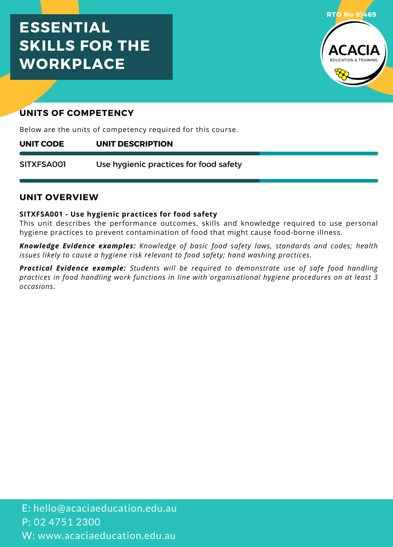# **ESSENTIAL SKILLS FOR THE WORKPLACE**



# **UNITS OF COMPETENCY**

Below are the units of competency required for this course.

#### **UNIT DESCRIPTION UNIT CODE**

Use hygienic practices for food safety SITXFSA001

# **UNIT OVERVIEW**

### **SITXFSA001 - Use hygienic practices for food safety**

This unit describes the performance outcomes, skills and knowledge required to use personal hygiene practices to prevent contamination offood that might cause food-borne illness.

*Knowledge Evidence examples: Knowledge of basic food safety laws, standards and codes; health issues likely to cause a hygiene risk relevant to food safety; hand washing practices.*

*Practical Evidence example: Students will be required to demonstrate use of safe food handling practices in food handling work functions in line with organisational hygiene procedures on at least 3 occasions.*